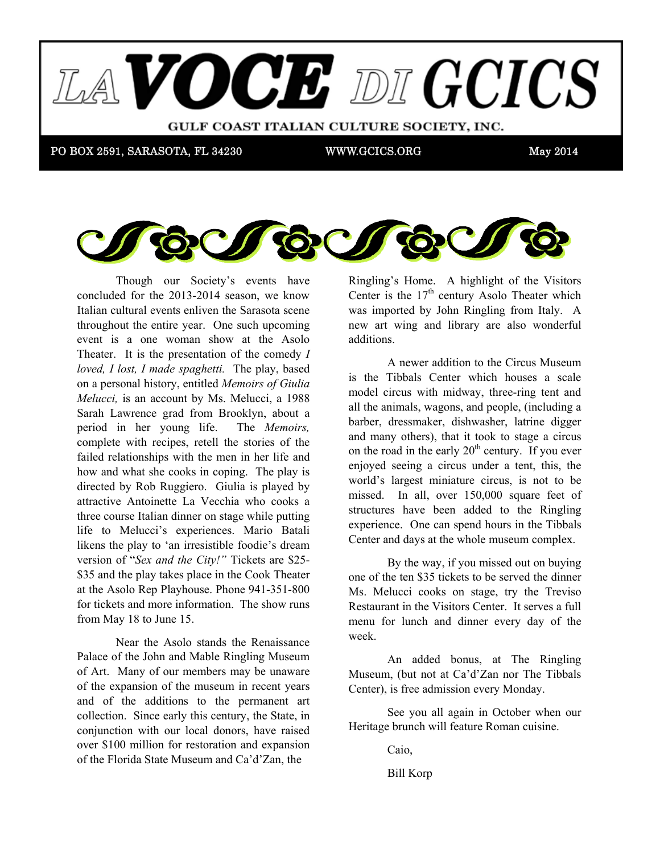



Though our Society's events have concluded for the  $2013-2014$  season, we know runan cultural cyclits chilyen the Barasota set throughout the entire year. One such upcoming event is a one woman show at the Asolo Theater. It is the presentation of the comedy *I loved, I lost, I made spaghetti.* The play, based on a personal history, entitled *Memoirs of Giulia Melucci*, is an account by Ms. Melucci, a 1988 we believe that using a billion will help using the system will have the use of the use of the use of the use of the use of the use of the use of the use of the use of the use of the use of the use of the use of the use of Sarah Lawrence grad from Brooklyn, about a 3-4 and extending it over a 3-4 and 2-4 and 2-4 and 3-4 and 3-4 and 3-4 and 3-4 and 3-4 and 3-4 and 3-4 and 3-4 and 3-4 and 3-4 and 3-4 and 3-4 and 3-4 and 3-4 and 3-4 and 3-4 and period in her young life. The *Memoirs*, failed relationships with the men in her life and how and what she cooks in coping. The play is directed by Rob Ruggiero. Giulia is played by attractive Antoinette La Vecchia who cooks a three course Italian dinner on stage while putting three course fund that sime on stage with plating life to Melucci's experiences. Mario Batali version of "*Sex and the City!*" Tickets are \$25at the Asolo Rep Playhouse. Phone 941-351-800 from May 18 to June 15. received at a beginning of  $\omega$  beginning  $\omega$ . Italian cultural events enliven the Sarasota scene complete with recipes, retell the stories of the likens the play to 'an irresistible foodie's dream \$35 and the play takes place in the Cook Theater for tickets and more information. The show runs

Palace of the John and Mable Ringling Museum of Art. Many of our members may be unaware of the expansion of the museum in recent years and of the additions to the permanent art collection. Since early this century, the State, in of the Florida State Museum and Ca'd'Zan, the Near the Asolo stands the Renaissance conjunction with our local donors, have raised over \$100 million for restoration and expansion

Ringling's Home. A highlight of the Visitors Center is the  $17<sup>th</sup>$  century Asolo Theater which was imported by John Ringling from Italy. A was imported by John Ringing Hom Ray. The new art wing and library are also wonderful prize? A \$25 gift certificate for Mozzarela Fella for Angela additions.

A newer addition to the Circus Museum is the Tibbals Center which houses a scale model circus with midway, three-ring tent and all the animals, wagons, and people, (including a barber, dressmaker, dishwasher, latrine digger and many others), that it took to stage a circus on the road in the early  $20<sup>th</sup>$  century. If you ever enjoyed seeing a circus under a tent, this, the world's largest miniature circus, is not to be missed. In all, over 150,000 square feet of structures have been added to the Ringling experience. One can spend hours in the Tibbals Center and days at the whole museum complex. recognizable by the time you receive this letter.

one of the ten \$35 tickets to be served the dinner Ms. Melucci cooks on stage, try the Treviso Restaurant in the Visitors Center. It serves a full of college life. We plan to publish from time to time other menu for lunch and dinner every day of the  $W$ eek. By the way, if you missed out on buying week.

An added bonus, at The Ringling Museum, (but not at Ca'd'Zan nor The Tibbals Center), is free admission every Monday.

 $\overline{a}$ See you all again in October when our Heritage brunch will feature Roman cuisine.

 $2^{11}$ Caio,

Bill Korp  $\frac{1}{2}$  m  $\frac{1}{2}$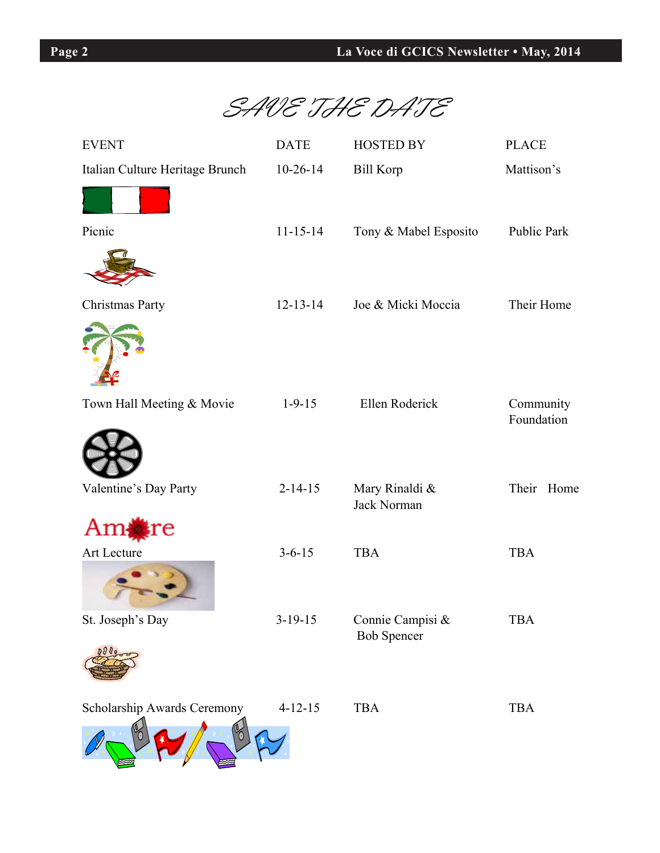

| <b>EVENT</b>                    | <b>DATE</b>    | <b>HOSTED BY</b>                       | <b>PLACE</b>       |
|---------------------------------|----------------|----------------------------------------|--------------------|
| Italian Culture Heritage Brunch | $10-26-14$     | <b>Bill Korp</b>                       | Mattison's         |
|                                 |                |                                        |                    |
| Picnic                          | $11 - 15 - 14$ | Tony & Mabel Esposito                  | <b>Public Park</b> |
|                                 |                |                                        |                    |
| Christmas Party                 | $12 - 13 - 14$ | Joe & Micki Moccia                     | Their Home         |
|                                 |                |                                        |                    |
| Town Hall Meeting & Movie       | $1-9-15$       | Ellen Roderick                         | Community          |
|                                 |                |                                        | Foundation         |
| Valentine's Day Party           | $2 - 14 - 15$  | Mary Rinaldi &<br>Jack Norman          | Their Home         |
| Am∤<br>re                       |                |                                        |                    |
| Art Lecture                     | $3 - 6 - 15$   | <b>TBA</b>                             | <b>TBA</b>         |
|                                 |                |                                        |                    |
| St. Joseph's Day                | $3-19-15$      | Connie Campisi &<br><b>Bob Spencer</b> | TBA                |
| 0000                            |                |                                        |                    |
| Scholarship Awards Ceremony     | $4 - 12 - 15$  | <b>TBA</b>                             | <b>TBA</b>         |
|                                 |                |                                        |                    |

٦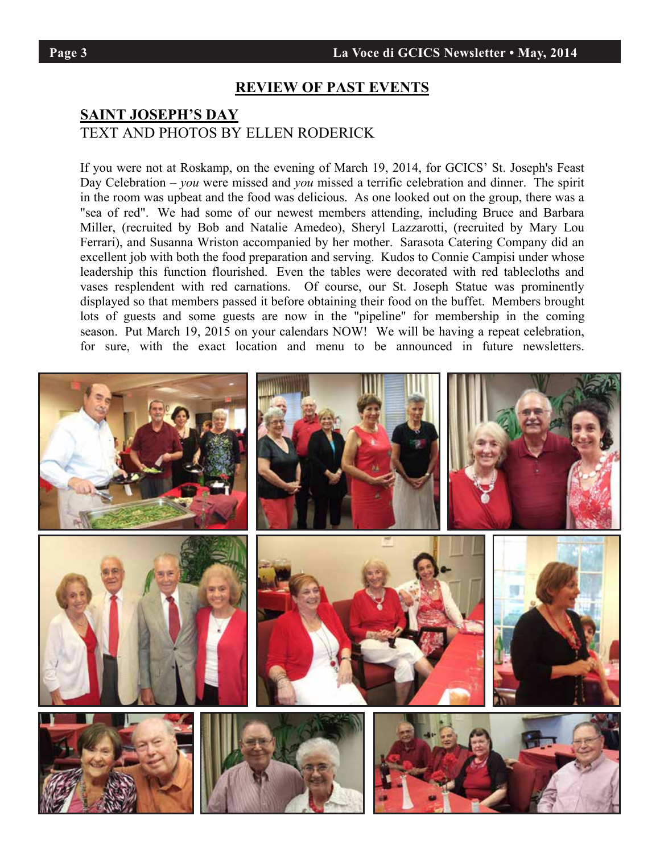### **REVIEW OF PAST EVENTS**

## **SAINT JOSEPH'S DAY** TEXT AND PHOTOS BY ELLEN RODERICK

If you were not at Roskamp, on the evening of March 19, 2014, for GCICS' St. Joseph's Feast Day Celebration – *you* were missed and *you* missed a terrific celebration and dinner. The spirit in the room was upbeat and the food was delicious. As one looked out on the group, there was a "sea of red". We had some of our newest members attending, including Bruce and Barbara Miller, (recruited by Bob and Natalie Amedeo), Sheryl Lazzarotti, (recruited by Mary Lou Ferrari), and Susanna Wriston accompanied by her mother. Sarasota Catering Company did an excellent job with both the food preparation and serving. Kudos to Connie Campisi under whose leadership this function flourished. Even the tables were decorated with red tablecloths and vases resplendent with red carnations. Of course, our St. Joseph Statue was prominently displayed so that members passed it before obtaining their food on the buffet. Members brought lots of guests and some guests are now in the "pipeline" for membership in the coming season. Put March 19, 2015 on your calendars NOW! We will be having a repeat celebration, for sure, with the exact location and menu to be announced in future newsletters.



٦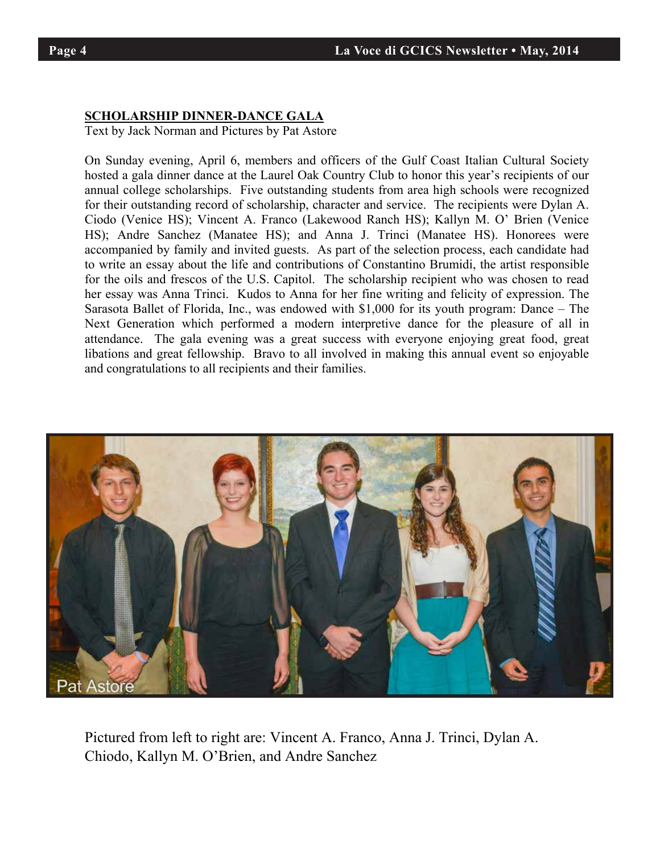٦

# **SCHOLARSHIP DINNER-DANCE GALA**

Text by Jack Norman and Pictures by Pat Astore

On Sunday evening, April 6, members and officers of the Gulf Coast Italian Cultural Society hosted a gala dinner dance at the Laurel Oak Country Club to honor this year's recipients of our annual college scholarships. Five outstanding students from area high schools were recognized for their outstanding record of scholarship, character and service. The recipients were Dylan A. Ciodo (Venice HS); Vincent A. Franco (Lakewood Ranch HS); Kallyn M. O' Brien (Venice KS) HS); Andre Sanchez (Manatee HS); and Anna J. Trinci (Manatee HS). Honorees were accompanied by family and invited guests. As part of the selection process, each candidate had to write an essay about the life and contributions of Constantino Brumidi, the artist responsible for the oils and frescos of the U.S. Capitol. The scholarship recipient who was chosen to read her essay was Anna Trinci. Kudos to Anna for her fine writing and felicity of expression. The Sarasota Ballet of Florida, Inc., was endowed with \$1,000 for its youth program: Dance – The Next Generation which performed a modern interpretive dance for the pleasure of all in attendance. The gala evening was a great success with everyone enjoying great food, great libations and great fellowship. Bravo to all involved in making this annual event so enjoyable and congratulations to all recipients and their families. annual college scholarships. Five outstanding studies from area high scholarships. Figures were recognized were recognized to the scholarship scholarships. Figures were recognized to the scholarship schools were recognize On Sunday evening, April 6, members and officers of the Guif Coast Italian Cultural Society.



Pictured from left to right are: Vincent A. Franco, Anna J. Trinci, Dylan A. Chiodo, Kallyn M. O'Brien, and Andre Sanchez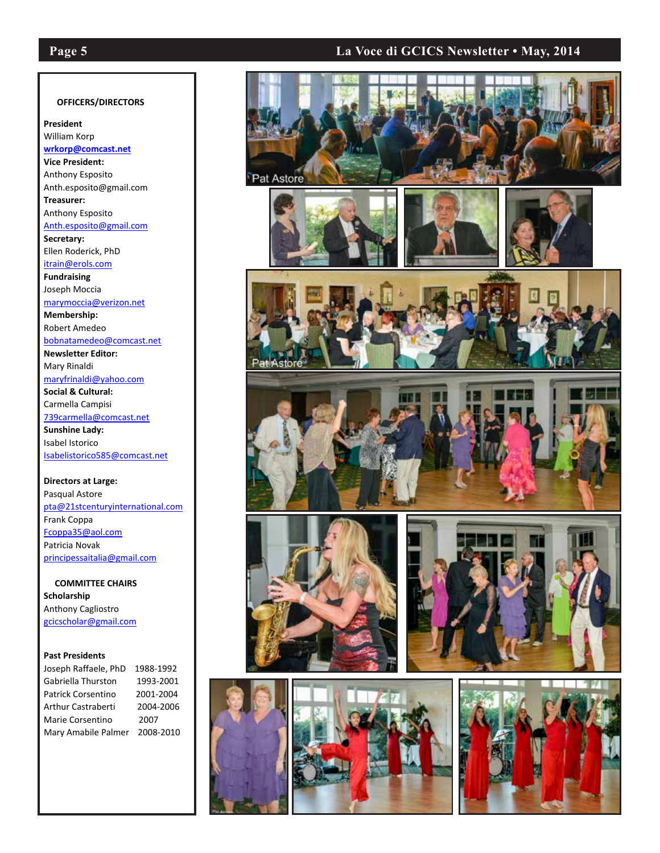֚֚֚֚֚֚֚֡֡֡֡֡

## **Page 5 La Voce di GCICS Newsletter • May, 2014**

#### **OFFICERS/DIRECTORS**

**President**  William Korp **wrkorp@comcast.net Vice President:** Anthony Esposito Anth.esposito@gmail.com **Treasurer:** Anthony Esposito Anth.esposito@gmail.com **Secretary:**  Ellen Roderick, PhD itrain@erols.com **Fundraising**  Joseph Moccia marymoccia@verizon.net **Membership:** Robert Amedeo bobnatamedeo@comcast.net **Newsletter Editor:**

Mary Rinaldi maryfrinaldi@yahoo.com **Social & Cultural:**

Carmella Campisi 739carmella@comcast.net **Sunshine Lady:**  Isabel Istorico Isabelistorico585@comcast.net

**Directors at Large:**  Pasqual Astore pta@21stcenturyinternational.com Frank Coppa Fcoppa35@aol.com Patricia Novak principessaitalia@gmail.com

 **COMMITTEE CHAIRS Scholarship** Anthony Cagliostro gcicscholar@gmail.com

#### **Past Presidents**

| Joseph Raffaele, PhD      | 1988-1992 |
|---------------------------|-----------|
| Gabriella Thurston        | 1993-2001 |
| <b>Patrick Corsentino</b> | 2001-2004 |
| <b>Arthur Castraberti</b> | 2004-2006 |
| Marie Corsentino          | 2007      |
| Mary Amabile Palmer       | 2008-2010 |